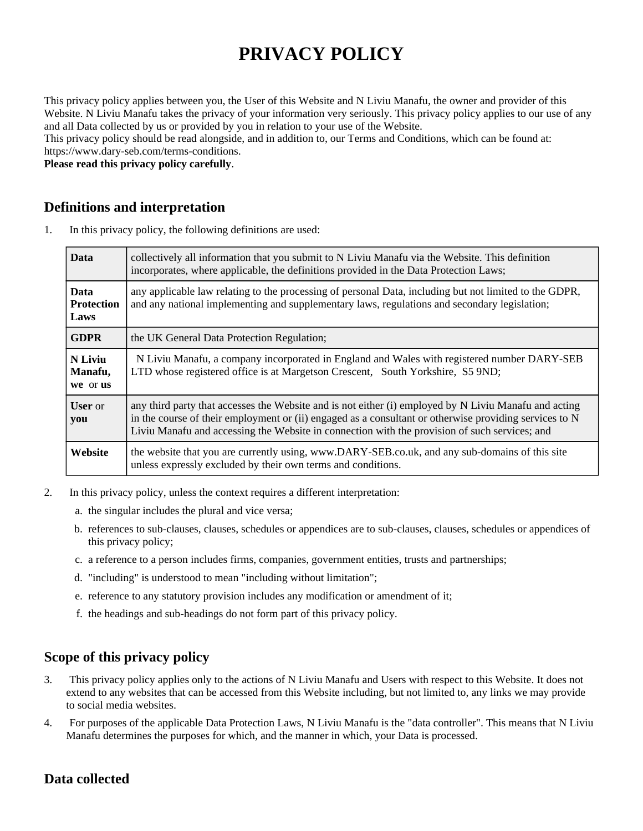# **PRIVACY POLICY**

This privacy policy applies between you, the User of this Website and N Liviu Manafu, the owner and provider of this Website. N Liviu Manafu takes the privacy of your information very seriously. This privacy policy applies to our use of any and all Data collected by us or provided by you in relation to your use of the Website.

This privacy policy should be read alongside, and in addition to, our Terms and Conditions, which can be found at: https://www.dary-seb.com/terms-conditions.

**Please read this privacy policy carefully**.

#### **Definitions and interpretation**

1. In this privacy policy, the following definitions are used:

| <b>Data</b>                              | collectively all information that you submit to N Liviu Manafu via the Website. This definition<br>incorporates, where applicable, the definitions provided in the Data Protection Laws;                                                                                                                         |
|------------------------------------------|------------------------------------------------------------------------------------------------------------------------------------------------------------------------------------------------------------------------------------------------------------------------------------------------------------------|
| <b>Data</b><br><b>Protection</b><br>Laws | any applicable law relating to the processing of personal Data, including but not limited to the GDPR,<br>and any national implementing and supplementary laws, regulations and secondary legislation;                                                                                                           |
| <b>GDPR</b>                              | the UK General Data Protection Regulation;                                                                                                                                                                                                                                                                       |
| N Liviu<br>Manafu,<br>we or us           | N Liviu Manafu, a company incorporated in England and Wales with registered number DARY-SEB<br>LTD whose registered office is at Margetson Crescent, South Yorkshire, S5 9ND;                                                                                                                                    |
| <b>User</b> or<br>you                    | any third party that accesses the Website and is not either (i) employed by N Liviu Manafu and acting<br>in the course of their employment or (ii) engaged as a consultant or otherwise providing services to N<br>Liviu Manafu and accessing the Website in connection with the provision of such services; and |
| Website                                  | the website that you are currently using, www.DARY-SEB.co.uk, and any sub-domains of this site<br>unless expressly excluded by their own terms and conditions.                                                                                                                                                   |

- 2. In this privacy policy, unless the context requires a different interpretation:
	- a. the singular includes the plural and vice versa;
	- b. references to sub-clauses, clauses, schedules or appendices are to sub-clauses, clauses, schedules or appendices of this privacy policy;
	- c. a reference to a person includes firms, companies, government entities, trusts and partnerships;
	- d. "including" is understood to mean "including without limitation";
	- e. reference to any statutory provision includes any modification or amendment of it;
	- f. the headings and sub-headings do not form part of this privacy policy.

## **Scope of this privacy policy**

- 3. This privacy policy applies only to the actions of N Liviu Manafu and Users with respect to this Website. It does not extend to any websites that can be accessed from this Website including, but not limited to, any links we may provide to social media websites.
- 4. For purposes of the applicable Data Protection Laws, N Liviu Manafu is the "data controller". This means that N Liviu Manafu determines the purposes for which, and the manner in which, your Data is processed.

## **Data collected**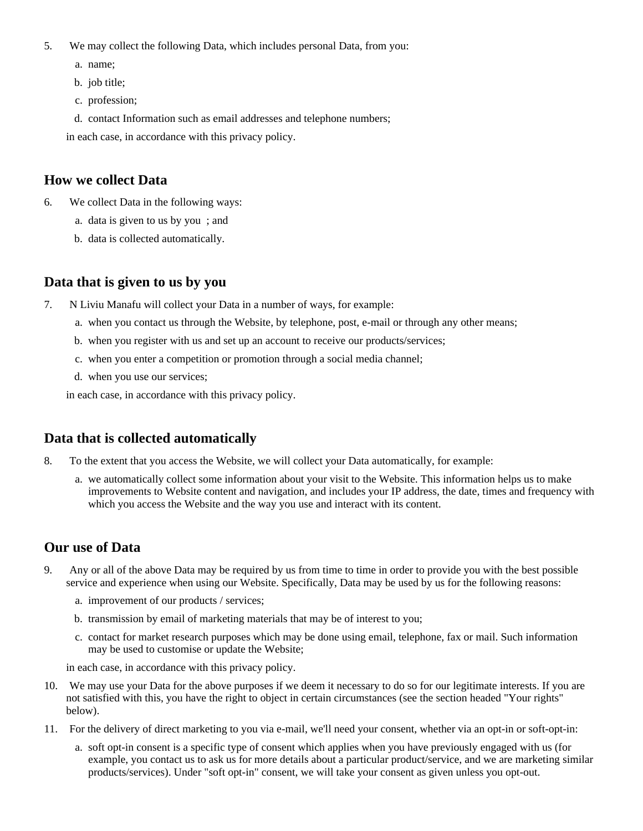- 5. We may collect the following Data, which includes personal Data, from you:
	- a. name;
	- b. job title;
	- c. profession;
	- d. contact Information such as email addresses and telephone numbers;

in each case, in accordance with this privacy policy.

#### **How we collect Data**

- 6. We collect Data in the following ways:
	- a. data is given to us by you ; and
	- b. data is collected automatically.

#### **Data that is given to us by you**

- 7. N Liviu Manafu will collect your Data in a number of ways, for example:
	- a. when you contact us through the Website, by telephone, post, e-mail or through any other means;
	- b. when you register with us and set up an account to receive our products/services;
	- c. when you enter a competition or promotion through a social media channel;
	- d. when you use our services;

in each case, in accordance with this privacy policy.

## **Data that is collected automatically**

- 8. To the extent that you access the Website, we will collect your Data automatically, for example:
	- a. we automatically collect some information about your visit to the Website. This information helps us to make improvements to Website content and navigation, and includes your IP address, the date, times and frequency with which you access the Website and the way you use and interact with its content.

## **Our use of Data**

- 9. Any or all of the above Data may be required by us from time to time in order to provide you with the best possible service and experience when using our Website. Specifically, Data may be used by us for the following reasons:
	- a. improvement of our products / services;
	- b. transmission by email of marketing materials that may be of interest to you;
	- c. contact for market research purposes which may be done using email, telephone, fax or mail. Such information may be used to customise or update the Website;

in each case, in accordance with this privacy policy.

- 10. We may use your Data for the above purposes if we deem it necessary to do so for our legitimate interests. If you are not satisfied with this, you have the right to object in certain circumstances (see the section headed "Your rights" below).
- 11. For the delivery of direct marketing to you via e-mail, we'll need your consent, whether via an opt-in or soft-opt-in:
	- a. soft opt-in consent is a specific type of consent which applies when you have previously engaged with us (for example, you contact us to ask us for more details about a particular product/service, and we are marketing similar products/services). Under "soft opt-in" consent, we will take your consent as given unless you opt-out.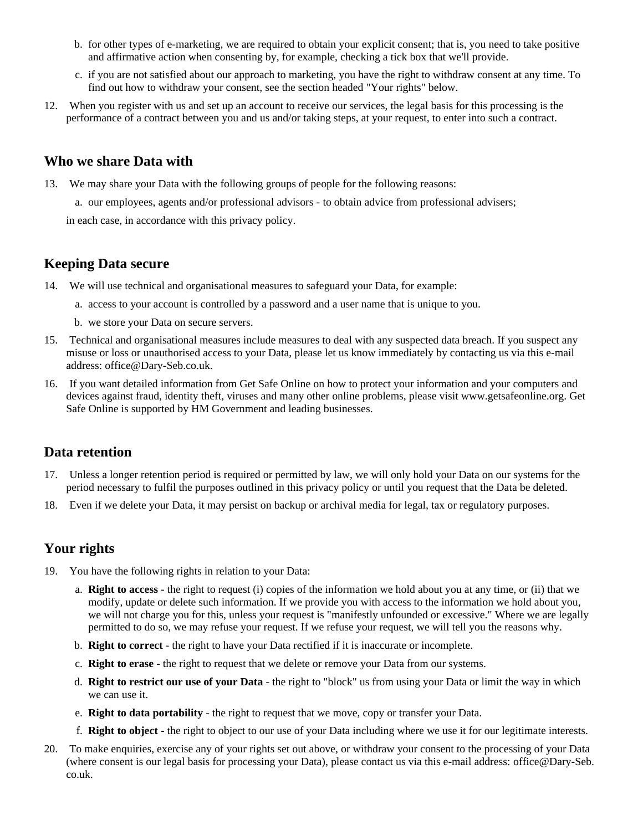- b. for other types of e-marketing, we are required to obtain your explicit consent; that is, you need to take positive and affirmative action when consenting by, for example, checking a tick box that we'll provide.
- c. if you are not satisfied about our approach to marketing, you have the right to withdraw consent at any time. To find out how to withdraw your consent, see the section headed "Your rights" below.
- 12. When you register with us and set up an account to receive our services, the legal basis for this processing is the performance of a contract between you and us and/or taking steps, at your request, to enter into such a contract.

#### **Who we share Data with**

- 13. We may share your Data with the following groups of people for the following reasons:
	- a. our employees, agents and/or professional advisors to obtain advice from professional advisers;

in each case, in accordance with this privacy policy.

## **Keeping Data secure**

- 14. We will use technical and organisational measures to safeguard your Data, for example:
	- a. access to your account is controlled by a password and a user name that is unique to you.
	- b. we store your Data on secure servers.
- 15. Technical and organisational measures include measures to deal with any suspected data breach. If you suspect any misuse or loss or unauthorised access to your Data, please let us know immediately by contacting us via this e-mail address: office@Dary-Seb.co.uk.
- 16. If you want detailed information from Get Safe Online on how to protect your information and your computers and devices against fraud, identity theft, viruses and many other online problems, please visit www.getsafeonline.org. Get Safe Online is supported by HM Government and leading businesses.

## **Data retention**

- 17. Unless a longer retention period is required or permitted by law, we will only hold your Data on our systems for the period necessary to fulfil the purposes outlined in this privacy policy or until you request that the Data be deleted.
- 18. Even if we delete your Data, it may persist on backup or archival media for legal, tax or regulatory purposes.

# **Your rights**

- 19. You have the following rights in relation to your Data:
	- a. **Right to access** the right to request (i) copies of the information we hold about you at any time, or (ii) that we modify, update or delete such information. If we provide you with access to the information we hold about you, we will not charge you for this, unless your request is "manifestly unfounded or excessive." Where we are legally permitted to do so, we may refuse your request. If we refuse your request, we will tell you the reasons why.
	- b. **Right to correct** the right to have your Data rectified if it is inaccurate or incomplete.
	- c. **Right to erase** the right to request that we delete or remove your Data from our systems.
	- d. **Right to restrict our use of your Data** the right to "block" us from using your Data or limit the way in which we can use it.
	- e. **Right to data portability** the right to request that we move, copy or transfer your Data.
	- f. **Right to object** the right to object to our use of your Data including where we use it for our legitimate interests.
- 20. To make enquiries, exercise any of your rights set out above, or withdraw your consent to the processing of your Data (where consent is our legal basis for processing your Data), please contact us via this e-mail address: office@Dary-Seb. co.uk.